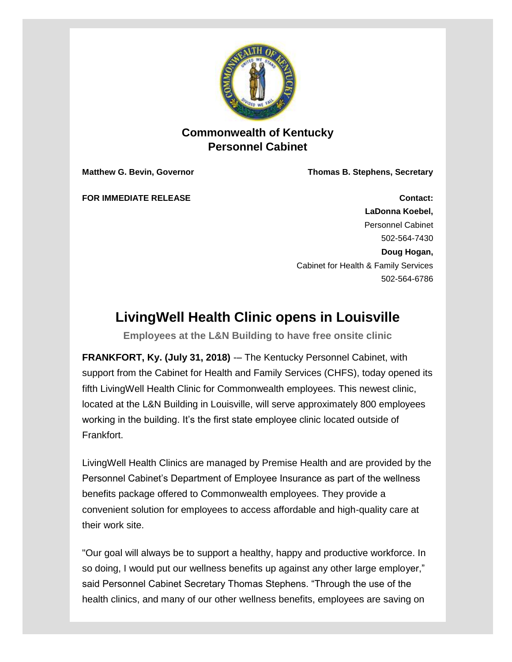

## **Commonwealth of Kentucky Personnel Cabinet**

**Matthew G. Bevin, Governor Thomas B. Stephens, Secretary**

**FOR IMMEDIATE RELEASE Contact: LaDonna Koebel,** Personnel Cabinet 502-564-7430 **Doug Hogan,** Cabinet for Health & Family Services 502-564-6786

## **LivingWell Health Clinic opens in Louisville**

**Employees at the L&N Building to have free onsite clinic**

**FRANKFORT, Ky. (July 31, 2018)** -– The Kentucky Personnel Cabinet, with support from the Cabinet for Health and Family Services (CHFS), today opened its fifth LivingWell Health Clinic for Commonwealth employees. This newest clinic, located at the L&N Building in Louisville, will serve approximately 800 employees working in the building. It's the first state employee clinic located outside of Frankfort.

LivingWell Health Clinics are managed by Premise Health and are provided by the Personnel Cabinet's Department of Employee Insurance as part of the wellness benefits package offered to Commonwealth employees. They provide a convenient solution for employees to access affordable and high-quality care at their work site.

"Our goal will always be to support a healthy, happy and productive workforce. In so doing, I would put our wellness benefits up against any other large employer," said Personnel Cabinet Secretary Thomas Stephens. "Through the use of the health clinics, and many of our other wellness benefits, employees are saving on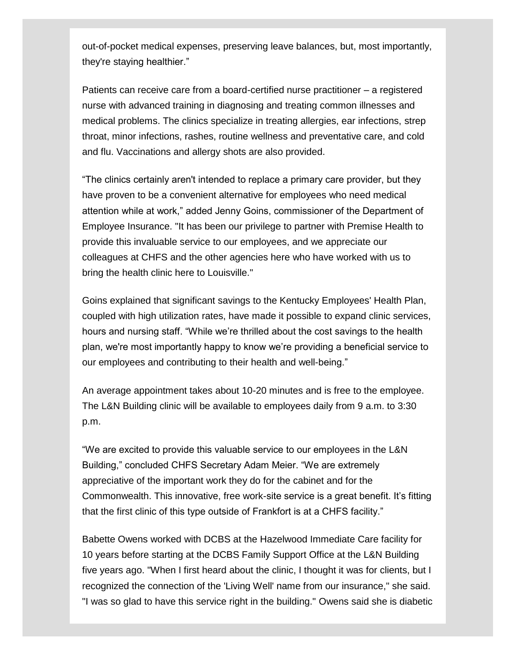out-of-pocket medical expenses, preserving leave balances, but, most importantly, they're staying healthier."

Patients can receive care from a board-certified nurse practitioner – a registered nurse with advanced training in diagnosing and treating common illnesses and medical problems. The clinics specialize in treating allergies, ear infections, strep throat, minor infections, rashes, routine wellness and preventative care, and cold and flu. Vaccinations and allergy shots are also provided.

"The clinics certainly aren't intended to replace a primary care provider, but they have proven to be a convenient alternative for employees who need medical attention while at work," added Jenny Goins, commissioner of the Department of Employee Insurance. "It has been our privilege to partner with Premise Health to provide this invaluable service to our employees, and we appreciate our colleagues at CHFS and the other agencies here who have worked with us to bring the health clinic here to Louisville."

Goins explained that significant savings to the Kentucky Employees' Health Plan, coupled with high utilization rates, have made it possible to expand clinic services, hours and nursing staff. "While we're thrilled about the cost savings to the health plan, we're most importantly happy to know we're providing a beneficial service to our employees and contributing to their health and well-being."

An average appointment takes about 10-20 minutes and is free to the employee. The L&N Building clinic will be available to employees daily from 9 a.m. to 3:30 p.m.

"We are excited to provide this valuable service to our employees in the L&N Building," concluded CHFS Secretary Adam Meier. "We are extremely appreciative of the important work they do for the cabinet and for the Commonwealth. This innovative, free work-site service is a great benefit. It's fitting that the first clinic of this type outside of Frankfort is at a CHFS facility."

Babette Owens worked with DCBS at the Hazelwood Immediate Care facility for 10 years before starting at the DCBS Family Support Office at the L&N Building five years ago. "When I first heard about the clinic, I thought it was for clients, but I recognized the connection of the 'Living Well' name from our insurance," she said. "I was so glad to have this service right in the building." Owens said she is diabetic